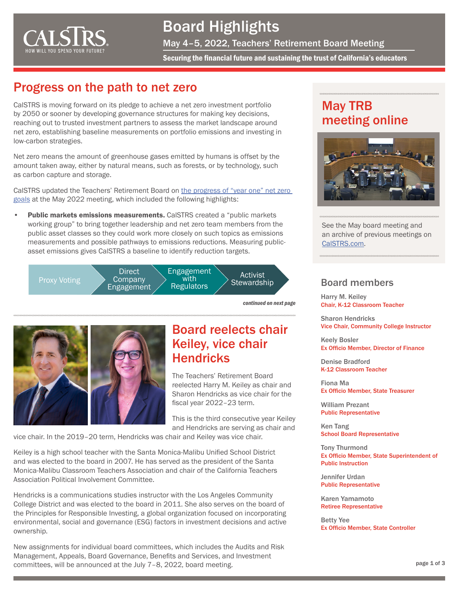

## Board Highlights

May 4–5, 2022, Teachers' Retirement Board Meeting

Securing the financial future and sustaining the trust of California's educators

#### Progress on the path to net zero

CalSTRS is moving forward on its pledge to achieve a net zero investment portfolio by 2050 or sooner by developing governance structures for making key decisions, reaching out to trusted investment partners to assess the market landscape around net zero, establishing baseline measurements on portfolio emissions and investing in low-carbon strategies.

Net zero means the amount of greenhouse gases emitted by humans is offset by the amount taken away, either by natural means, such as forests, or by technology, such as carbon capture and storage.

CalSTRS updated the Teachers' Retirement Board on [the progress of "year one" net zero](https://www.calstrs.com/files/71bb16ca9/INV-+052022-+Item3.pdf)  [goals](https://www.calstrs.com/files/71bb16ca9/INV-+052022-+Item3.pdf) at the May 2022 meeting, which included the following highlights:

Public markets emissions measurements. CalSTRS created a "public markets" working group" to bring together leadership and net zero team members from the public asset classes so they could work more closely on such topics as emissions measurements and possible pathways to emissions reductions. Measuring publicasset emissions gives CalSTRS a baseline to identify reduction targets.



*continued on next page*





#### Board reelects chair Keiley, vice chair **Hendricks**

The Teachers' Retirement Board reelected Harry M. Keiley as chair and Sharon Hendricks as vice chair for the fiscal year 2022–23 term.

This is the third consecutive year Keiley and Hendricks are serving as chair and

vice chair. In the 2019–20 term, Hendricks was chair and Keiley was vice chair.

Keiley is a high school teacher with the Santa Monica-Malibu Unified School District and was elected to the board in 2007. He has served as the president of the Santa Monica-Malibu Classroom Teachers Association and chair of the California Teachers Association Political Involvement Committee.

Hendricks is a communications studies instructor with the Los Angeles Community College District and was elected to the board in 2011. She also serves on the board of the Principles for Responsible Investing, a global organization focused on incorporating environmental, social and governance (ESG) factors in investment decisions and active ownership.

New assignments for individual board committees, which includes the Audits and Risk Management, Appeals, Board Governance, Benefits and Services, and Investment committees, will be announced at the July 7–8, 2022, board meeting.

### May TRB meeting online



See the May board meeting and an archive of previous meetings on [CalSTRS.com.](https://www.calstrs.com/board-meeting-video-archive)

#### Board members

Harry M. Keiley Chair, K-12 Classroom Teacher

Sharon Hendricks Vice Chair, Community College Instructor

Keely Bosler Ex Officio Member, Director of Finance

Denise Bradford K-12 Classroom Teacher

Fiona Ma Ex Officio Member, State Treasurer

William Prezant Public Representative

Ken Tang School Board Representative

Tony Thurmond Ex Officio Member, State Superintendent of Public Instruction

Jennifer Urdan Public Representative

Karen Yamamoto Retiree Representative

Betty Yee Ex Officio Member, State Controller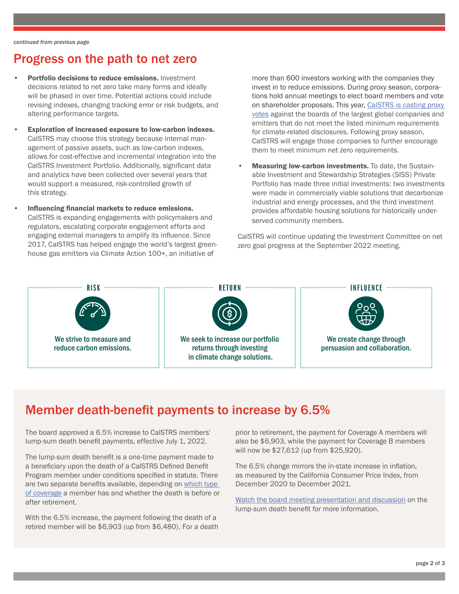### Progress on the path to net zero

- Portfolio decisions to reduce emissions. Investment decisions related to net zero take many forms and ideally will be phased in over time. Potential actions could include revising indexes, changing tracking error or risk budgets, and altering performance targets.
- Exploration of increased exposure to low-carbon indexes. CalSTRS may choose this strategy because internal management of passive assets, such as low-carbon indexes, allows for cost-effective and incremental integration into the CalSTRS Investment Portfolio. Additionally, significant data and analytics have been collected over several years that would support a measured, risk-controlled growth of this strategy.
- Influencing financial markets to reduce emissions. CalSTRS is expanding engagements with policymakers and regulators, escalating corporate engagement efforts and engaging external managers to amplify its influence. Since 2017, CalSTRS has helped engage the world's largest greenhouse gas emitters via Climate Action 100+, an initiative of

more than 600 investors working with the companies they invest in to reduce emissions. During proxy season, corporations hold annual meetings to elect board members and vote on shareholder proposals. This year, [CalSTRS is casting proxy](https://www.calstrs.com/calstrs-will-escalate-proxy-votes-to-achieve-board-diversity-net-zero-progress-and-climate-change-action)  [votes](https://www.calstrs.com/calstrs-will-escalate-proxy-votes-to-achieve-board-diversity-net-zero-progress-and-climate-change-action) against the boards of the largest global companies and emitters that do not meet the listed minimum requirements for climate-related disclosures. Following proxy season, CalSTRS will engage those companies to further encourage them to meet minimum net zero requirements.

Measuring low-carbon investments. To date, the Sustainable Investment and Stewardship Strategies (SISS) Private Portfolio has made three initial investments: two investments were made in commercially viable solutions that decarbonize industrial and energy processes, and the third investment provides affordable housing solutions for historically underserved community members.

CalSTRS will continue updating the Investment Committee on net zero goal progress at the September 2022 meeting.



### Member death-benefit payments to increase by 6.5%

The board approved a 6.5% increase to CalSTRS members' lump-sum death benefit payments, effective July 1, 2022.

The lump-sum death benefit is a one-time payment made to a beneficiary upon the death of a CalSTRS Defined Benefit Program member under conditions specified in statute. There are two separate benefits available, depending on [which type](https://www.calstrs.com/coverage-a-or-b-when-you-die-after-retirement)  [of coverage](https://www.calstrs.com/coverage-a-or-b-when-you-die-after-retirement) a member has and whether the death is before or after retirement.

With the 6.5% increase, the payment following the death of a retired member will be \$6,903 (up from \$6,480). For a death prior to retirement, the payment for Coverage A members will also be \$6,903, while the payment for Coverage B members will now be \$27,612 (up from \$25,920).

The 6.5% change mirrors the in-state increase in inflation, as measured by the California Consumer Price Index, from December 2020 to December 2021.

[Watch the board meeting presentation and discussion](https://youtu.be/JdE93OemfLY?t=4920) on the lump-sum death benefit for more information.